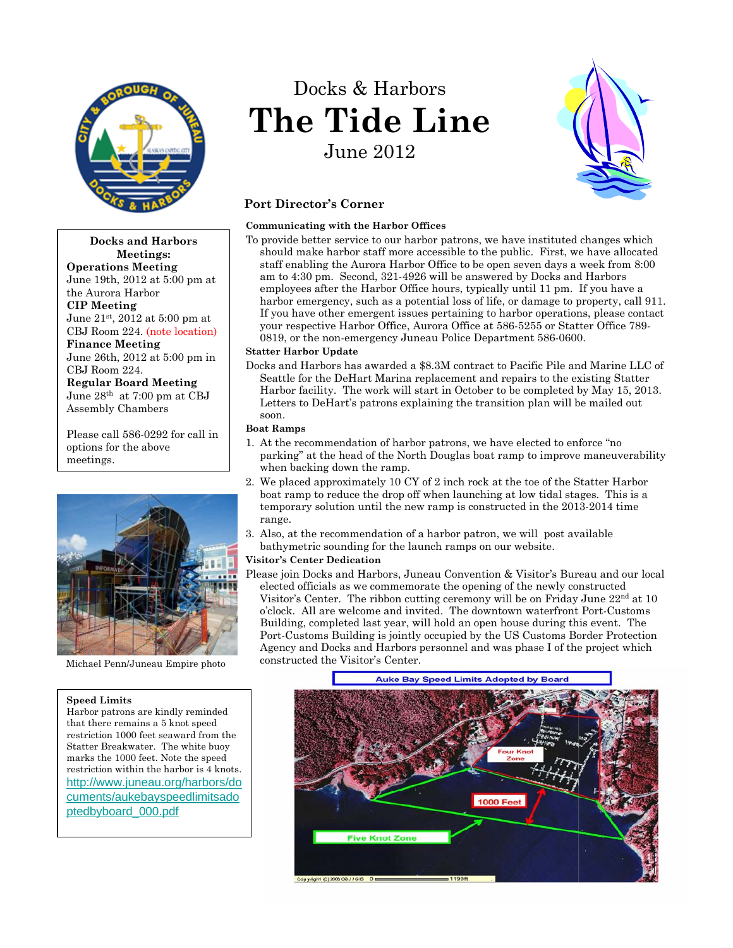

**Docks and Harbors Meetings: Operations Meeting** June 19th, 2012 at 5:00 pm at the Aurora Harbor **CIP Meeting** June 21st, 2012 at 5:00 pm at CBJ Room 224. (note location) **Finance Meeting**

June 26th, 2012 at 5:00 pm in CBJ Room 224.

**Regular Board Meeting** June 28th at 7:00 pm at CBJ Assembly Chambers

Please call 586-0292 for call in options for the above meetings.



Michael Penn/Juneau Empire photo

#### **Speed Limits**

Harbor patrons are kindly reminded that there remains a 5 knot speed restriction 1000 feet seaward from the Statter Breakwater. The white buoy marks the 1000 feet. Note the speed restriction within the harbor is 4 knots. [http://www.juneau.org/harbors/do](http://www.juneau.org/harbors/documents/aukebayspeedlimitsadoptedbyboard_000.pdf) [cuments/aukebayspeedlimitsado](http://www.juneau.org/harbors/documents/aukebayspeedlimitsadoptedbyboard_000.pdf)  [ptedbyboard\\_000.pdf](http://www.juneau.org/harbors/documents/aukebayspeedlimitsadoptedbyboard_000.pdf)

# Docks & Harbors **The Tide Line** June 2012



## **Port Director's Corner**

#### **Communicating with the Harbor Offices**

To provide better service to our harbor patrons, we have instituted changes which should make harbor staff more accessible to the public. First, we have allocated staff enabling the Aurora Harbor Office to be open seven days a week from 8:00 am to 4:30 pm. Second, 321-4926 will be answered by Docks and Harbors employees after the Harbor Office hours, typically until 11 pm. If you have a harbor emergency, such as a potential loss of life, or damage to property, call 911. If you have other emergent issues pertaining to harbor operations, please contact your respective Harbor Office, Aurora Office at 586-5255 or Statter Office 789- 0819, or the non-emergency Juneau Police Department 586-0600.

#### **Statter Harbor Update**

Docks and Harbors has awarded a \$8.3M contract to Pacific Pile and Marine LLC of Seattle for the DeHart Marina replacement and repairs to the existing Statter Harbor facility. The work will start in October to be completed by May 15, 2013. Letters to DeHart's patrons explaining the transition plan will be mailed out soon.

#### **Boat Ramps**

- 1. At the recommendation of harbor patrons, we have elected to enforce "no parking" at the head of the North Douglas boat ramp to improve maneuverability when backing down the ramp.
- 2. We placed approximately 10 CY of 2 inch rock at the toe of the Statter Harbor boat ramp to reduce the drop off when launching at low tidal stages. This is a temporary solution until the new ramp is constructed in the 2013-2014 time range.
- 3. Also, at the recommendation of a harbor patron, we will post available bathymetric sounding for the launch ramps on our website.

## **Visitor's Center Dedication**

Please join Docks and Harbors, Juneau Convention & Visitor's Bureau and our local elected officials as we commemorate the opening of the newly constructed Visitor's Center. The ribbon cutting ceremony will be on Friday June  $22<sup>nd</sup>$  at 10 o'clock. All are welcome and invited. The downtown waterfront Port-Customs Building, completed last year, will hold an open house during this event. The Port-Customs Building is jointly occupied by the US Customs Border Protection Agency and Docks and Harbors personnel and was phase I of the project which constructed the Visitor's Center.